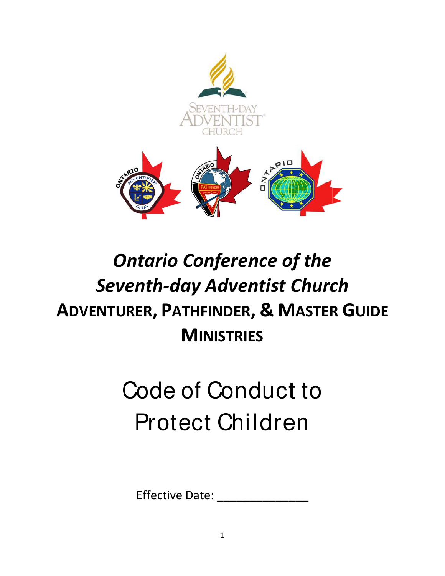

## **Ontario Conference of the Seventh-day Adventist Church ADVENTURER, PATHFINDER, & MASTER GUIDE MINISTRIES**

# Code of Conduct to **Protect Children**

**Effective Date:**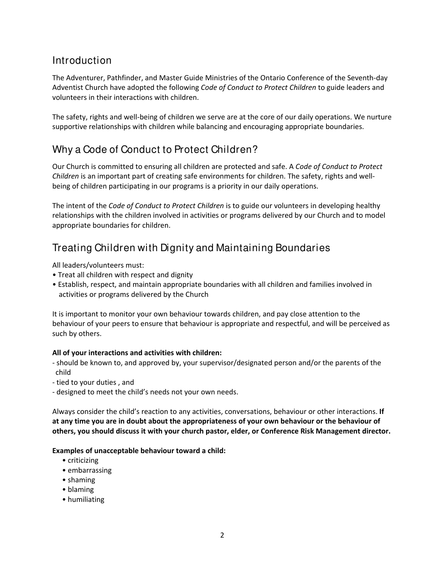## Introduction

The Adventurer, Pathfinder, and Master Guide Ministries of the Ontario Conference of the Seventh‐day Adventist Church have adopted the following *Code of Conduct to Protect Children* to guide leaders and volunteers in their interactions with children.

The safety, rights and well‐being of children we serve are at the core of our daily operations. We nurture supportive relationships with children while balancing and encouraging appropriate boundaries.

## Why a Code of Conduct to Protect Children?

Our Church is committed to ensuring all children are protected and safe. A *Code of Conduct to Protect Children* is an important part of creating safe environments for children. The safety, rights and well‐ being of children participating in our programs is a priority in our daily operations.

The intent of the *Code of Conduct to Protect Children* is to guide our volunteers in developing healthy relationships with the children involved in activities or programs delivered by our Church and to model appropriate boundaries for children.

## Treating Children with Dignity and Maintaining Boundaries

All leaders/volunteers must:

- Treat all children with respect and dignity
- ï Establish, respect, and maintain appropriate boundaries with all children and families involved in activities or programs delivered by the Church

It is important to monitor your own behaviour towards children, and pay close attention to the behaviour of your peers to ensure that behaviour is appropriate and respectful, and will be perceived as such by others.

#### **All of your interactions and activities with children:**

- ‐ should be known to, and approved by, your supervisor/designated person and/or the parents of the child
- ‐ tied to your duties , and
- ‐ designed to meet the child's needs not your own needs.

Always consider the child's reaction to any activities, conversations, behaviour or other interactions. **If at any time you are in doubt about the appropriateness of your own behaviour or the behaviour of others, you should discuss it with your church pastor, elder, or Conference Risk Management director.**

#### **Examples of unacceptable behaviour toward a child:**

- $\bullet$  criticizing
- $\bullet$  embarrassing
- shaming
- $\bullet$  blaming
- humiliating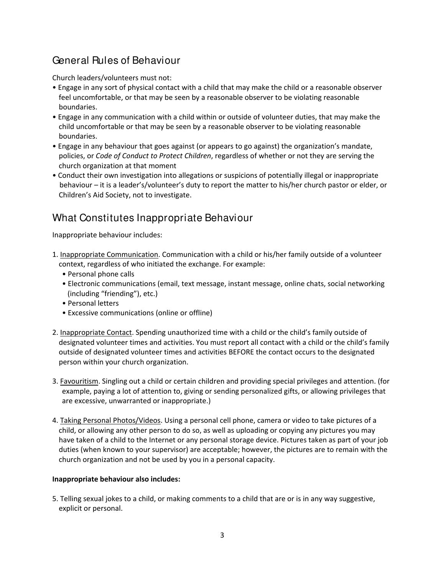## General Rules of Behaviour

Church leaders/volunteers must not:

- Engage in any sort of physical contact with a child that may make the child or a reasonable observer feel uncomfortable, or that may be seen by a reasonable observer to be violating reasonable boundaries.
- Engage in any communication with a child within or outside of volunteer duties, that may make the child uncomfortable or that may be seen by a reasonable observer to be violating reasonable boundaries.
- Engage in any behaviour that goes against (or appears to go against) the organization's mandate, policies, or *Code of Conduct to Protect Children*, regardless of whether or not they are serving the church organization at that moment
- Conduct their own investigation into allegations or suspicions of potentially illegal or inappropriate behaviour – it is a leader's/volunteer's duty to report the matter to his/her church pastor or elder, or Children's Aid Society, not to investigate.

## What Constitutes Inappropriate Behaviour

Inappropriate behaviour includes:

- 1. Inappropriate Communication. Communication with a child or his/her family outside of a volunteer context, regardless of who initiated the exchange. For example:
	- Personal phone calls
	- Electronic communications (email, text message, instant message, online chats, social networking (including "friending"), etc.)
	- Personal letters
	- Excessive communications (online or offline)
- 2. Inappropriate Contact. Spending unauthorized time with a child or the child's family outside of designated volunteer times and activities. You must report all contact with a child or the child's family outside of designated volunteer times and activities BEFORE the contact occurs to the designated person within your church organization.
- 3. Favouritism. Singling out a child or certain children and providing special privileges and attention. (for example, paying a lot of attention to, giving or sending personalized gifts, or allowing privileges that are excessive, unwarranted or inappropriate.)
- 4. Taking Personal Photos/Videos. Using a personal cell phone, camera or video to take pictures of a child, or allowing any other person to do so, as well as uploading or copying any pictures you may have taken of a child to the Internet or any personal storage device. Pictures taken as part of your job duties (when known to your supervisor) are acceptable; however, the pictures are to remain with the church organization and not be used by you in a personal capacity.

#### **Inappropriate behaviour also includes:**

5. Telling sexual jokes to a child, or making comments to a child that are or is in any way suggestive, explicit or personal.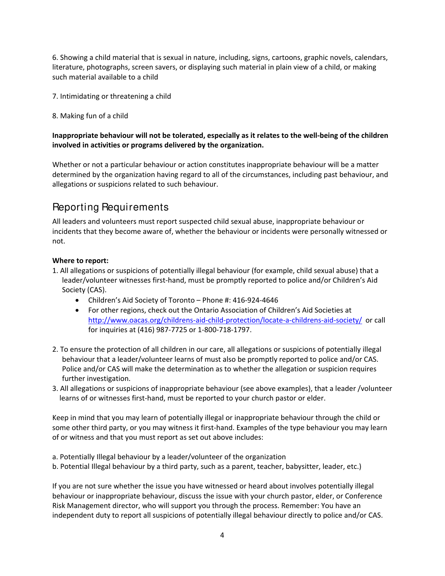6. Showing a child material that is sexual in nature, including, signs, cartoons, graphic novels, calendars, literature, photographs, screen savers, or displaying such material in plain view of a child, or making such material available to a child

- 7. Intimidating or threatening a child
- 8. Making fun of a child

#### Inappropriate behaviour will not be tolerated, especially as it relates to the well-being of the children **involved in activities or programs delivered by the organization.**

Whether or not a particular behaviour or action constitutes inappropriate behaviour will be a matter determined by the organization having regard to all of the circumstances, including past behaviour, and allegations or suspicions related to such behaviour.

## Reporting Requirements

All leaders and volunteers must report suspected child sexual abuse, inappropriate behaviour or incidents that they become aware of, whether the behaviour or incidents were personally witnessed or not.

#### **Where to report:**

- 1. All allegations or suspicions of potentially illegal behaviour (for example, child sexual abuse) that a leader/volunteer witnesses first‐hand, must be promptly reported to police and/or Children's Aid Society (CAS).
	- Children's Aid Society of Toronto Phone #: 416‐924‐4646
	- For other regions, check out the Ontario Association of Children's Aid Societies at http://www.oacas.org/childrens-aid-child-protection/locate-a-childrens-aid-society/ or call for inquiries at (416) 987‐7725 or 1‐800‐718‐1797.
- 2. To ensure the protection of all children in our care, all allegations or suspicions of potentially illegal behaviour that a leader/volunteer learns of must also be promptly reported to police and/or CAS. Police and/or CAS will make the determination as to whether the allegation or suspicion requires further investigation.
- 3. All allegations or suspicions of inappropriate behaviour (see above examples), that a leader /volunteer learns of or witnesses first‐hand, must be reported to your church pastor or elder.

Keep in mind that you may learn of potentially illegal or inappropriate behaviour through the child or some other third party, or you may witness it first-hand. Examples of the type behaviour you may learn of or witness and that you must report as set out above includes:

- a. Potentially Illegal behaviour by a leader/volunteer of the organization
- b. Potential Illegal behaviour by a third party, such as a parent, teacher, babysitter, leader, etc.)

If you are not sure whether the issue you have witnessed or heard about involves potentially illegal behaviour or inappropriate behaviour, discuss the issue with your church pastor, elder, or Conference Risk Management director, who will support you through the process. Remember: You have an independent duty to report all suspicions of potentially illegal behaviour directly to police and/or CAS.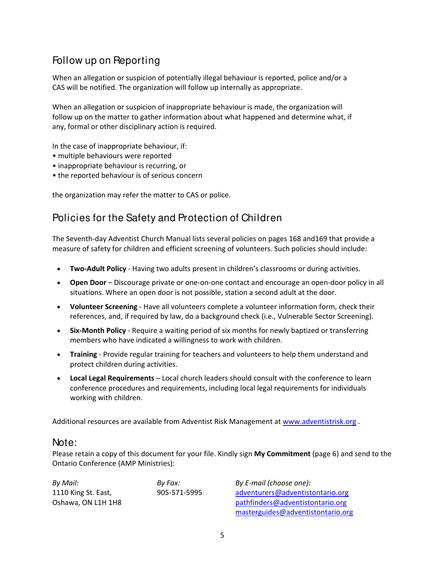## Follow up on Reporting

When an allegation or suspicion of potentially illegal behaviour is reported, police and/or a CAS will be notified. The organization will follow up internally as appropriate.

When an allegation or suspicion of inappropriate behaviour is made, the organization will follow up on the matter to gather information about what happened and determine what, if any, formal or other disciplinary action is required.

In the case of inappropriate behaviour, if:

- multiple behaviours were reported
- inappropriate behaviour is recurring, or
- the reported behaviour is of serious concern

the organization may refer the matter to CAS or police.

### Policies for the Safety and Protection of Children

The Seventh‐day Adventist Church Manual lists several policies on pages 168 and169 that provide a measure of safety for children and efficient screening of volunteers. Such policies should include:

- **Two‐Adult Policy** ‐ Having two adults present in children's classrooms or during activities.
- **Open Door** Discourage private or one‐on‐one contact and encourage an open‐door policy in all situations. Where an open door is not possible, station a second adult at the door.
- **Volunteer Screening** ‐ Have all volunteers complete a volunteer information form, check their references, and, if required by law, do a background check (i.e., Vulnerable Sector Screening).
- **Six‐Month Policy** ‐ Require a waiting period of six months for newly baptized or transferring members who have indicated a willingness to work with children.
- **Training** ‐ Provide regular training for teachers and volunteers to help them understand and protect children during activities.
- **Local Legal Requirements** Local church leaders should consult with the conference to learn conference procedures and requirements, including local legal requirements for individuals working with children.

Additional resources are available from Adventist Risk Management at www.adventistrisk.org .

#### Note:

Please retain a copy of this document for your file. Kindly sign **My Commitment** (page 6) and send to the Ontario Conference (AMP Ministries):

| By Mail:            | By Fax:      | By E-mail (choose one):           |  |
|---------------------|--------------|-----------------------------------|--|
| 1110 King St. East, | 905-571-5995 | adventurers@adventistontario.org  |  |
| Oshawa, ON L1H 1H8  |              | pathfinders@adventistontario.org  |  |
|                     |              | masterguides@adventistontario.org |  |